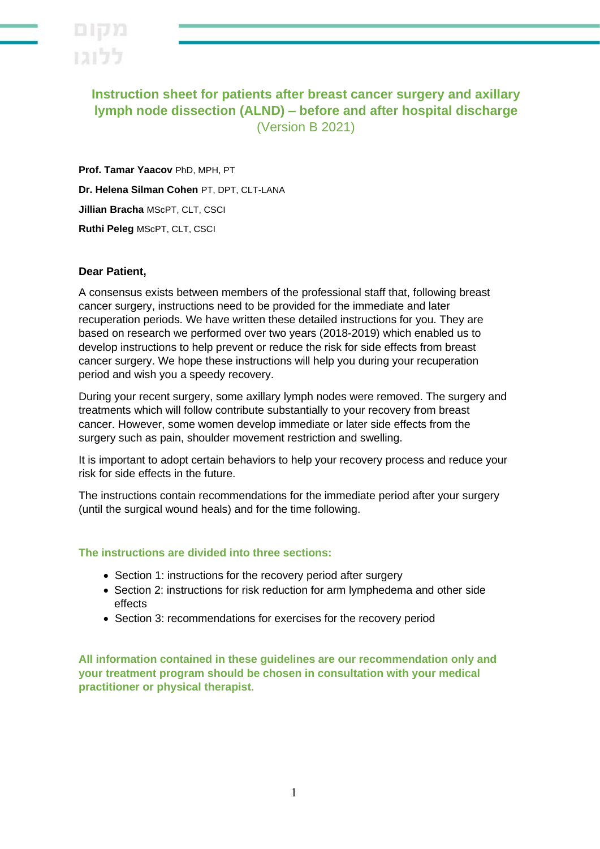

**Instruction sheet for patients after breast cancer surgery and axillary lymph node dissection (ALND) – before and after hospital discharge**  (Version B 2021)

**Prof. Tamar Yaacov** PhD, MPH, PT **Dr. Helena Silman Cohen** PT, DPT, CLT-LANA **Jillian Bracha** MScPT, CLT, CSCI **Ruthi Peleg** MScPT, CLT, CSCI

### **Dear Patient,**

A consensus exists between members of the professional staff that, following breast cancer surgery, instructions need to be provided for the immediate and later recuperation periods. We have written these detailed instructions for you. They are based on research we performed over two years (2018-2019) which enabled us to develop instructions to help prevent or reduce the risk for side effects from breast cancer surgery. We hope these instructions will help you during your recuperation period and wish you a speedy recovery.

During your recent surgery, some axillary lymph nodes were removed. The surgery and treatments which will follow contribute substantially to your recovery from breast cancer. However, some women develop immediate or later side effects from the surgery such as pain, shoulder movement restriction and swelling.

It is important to adopt certain behaviors to help your recovery process and reduce your risk for side effects in the future.

The instructions contain recommendations for the immediate period after your surgery (until the surgical wound heals) and for the time following.

### **The instructions are divided into three sections:**

- Section 1: instructions for the recovery period after surgery
- Section 2: instructions for risk reduction for arm lymphedema and other side effects
- Section 3: recommendations for exercises for the recovery period

**All information contained in these guidelines are our recommendation only and your treatment program should be chosen in consultation with your medical practitioner or physical therapist.**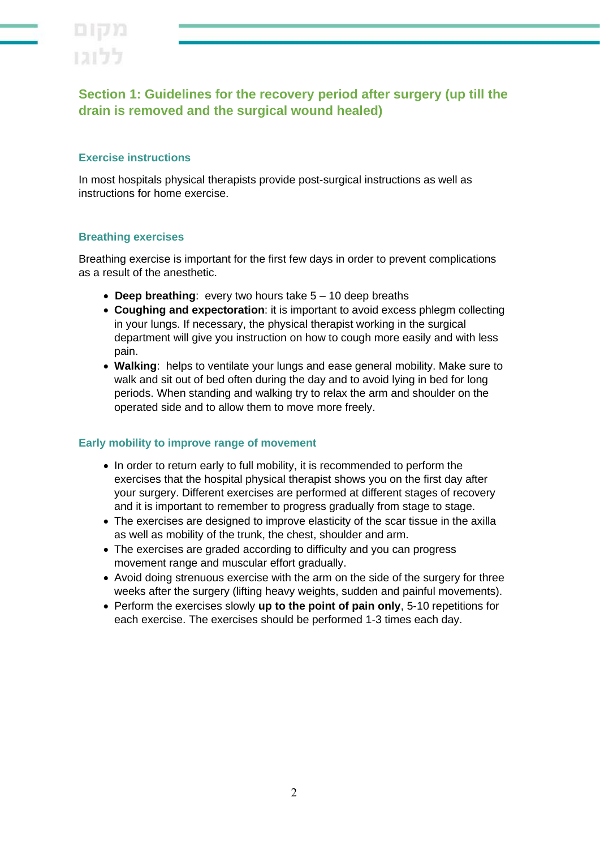

# **Section 1: Guidelines for the recovery period after surgery (up till the drain is removed and the surgical wound healed)**

## **Exercise instructions**

In most hospitals physical therapists provide post-surgical instructions as well as instructions for home exercise .

### **Breathing exercises**

Breathing exercise is important for the first few days in order to prevent complications as a result of the anesthetic.

- **Deep breathing**: every two hours take 5 10 deep breaths
- **Coughing and expectoration**: it is important to avoid excess phlegm collecting in your lungs. If necessary, the physical therapist working in the surgical department will give you instruction on how to cough more easily and with less pain.
- **Walking**: helps to ventilate your lungs and ease general mobility. Make sure to walk and sit out of bed often during the day and to avoid lying in bed for long periods. When standing and walking try to relax the arm and shoulder on the operated side and to allow them to move more freely.

### **Early mobility to improve range of movement**

- In order to return early to full mobility, it is recommended to perform the exercises that the hospital physical therapist shows you on the first day after your surgery. Different exercises are performed at different stages of recovery and it is important to remember to progress gradually from stage to stage.
- The exercises are designed to improve elasticity of the scar tissue in the axilla as well as mobility of the trunk, the chest, shoulder and arm.
- The exercises are graded according to difficulty and you can progress movement range and muscular effort gradually.
- Avoid doing strenuous exercise with the arm on the side of the surgery for three weeks after the surgery (lifting heavy weights, sudden and painful movements).
- Perform the exercises slowly **up to the point of pain only**, 5-10 repetitions for each exercise. The exercises should be performed 1-3 times each day.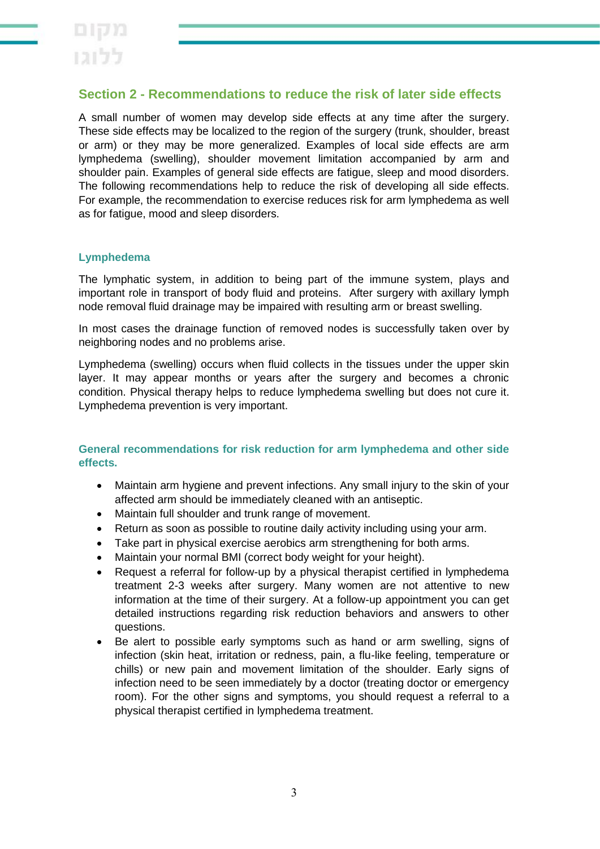# **Section 2 - Recommendations to reduce the risk of later side effects**

A small number of women may develop side effects at any time after the surgery. These side effects may be localized to the region of the surgery (trunk, shoulder, breast or arm) or they may be more generalized. Examples of local side effects are arm lymphedema (swelling), shoulder movement limitation accompanied by arm and shoulder pain. Examples of general side effects are fatigue, sleep and mood disorders. The following recommendations help to reduce the risk of developing all side effects. For example, the recommendation to exercise reduces risk for arm lymphedema as well as for fatigue, mood and sleep disorders.

## **Lymphedema**

The lymphatic system, in addition to being part of the immune system, plays and important role in transport of body fluid and proteins. After surgery with axillary lymph node removal fluid drainage may be impaired with resulting arm or breast swelling.

In most cases the drainage function of removed nodes is successfully taken over by neighboring nodes and no problems arise.

Lymphedema (swelling) occurs when fluid collects in the tissues under the upper skin layer. It may appear months or years after the surgery and becomes a chronic condition. Physical therapy helps to reduce lymphedema swelling but does not cure it. Lymphedema prevention is very important.

## **General recommendations for risk reduction for arm lymphedema and other side effects.**

- Maintain arm hygiene and prevent infections. Any small injury to the skin of your affected arm should be immediately cleaned with an antiseptic.
- Maintain full shoulder and trunk range of movement.
- Return as soon as possible to routine daily activity including using your arm.
- Take part in physical exercise aerobics arm strengthening for both arms.
- Maintain your normal BMI (correct body weight for your height).
- Request a referral for follow-up by a physical therapist certified in lymphedema treatment 2-3 weeks after surgery. Many women are not attentive to new information at the time of their surgery. At a follow-up appointment you can get detailed instructions regarding risk reduction behaviors and answers to other questions.
- Be alert to possible early symptoms such as hand or arm swelling, signs of infection (skin heat, irritation or redness, pain, a flu-like feeling, temperature or chills) or new pain and movement limitation of the shoulder. Early signs of infection need to be seen immediately by a doctor (treating doctor or emergency room). For the other signs and symptoms, you should request a referral to a physical therapist certified in lymphedema treatment.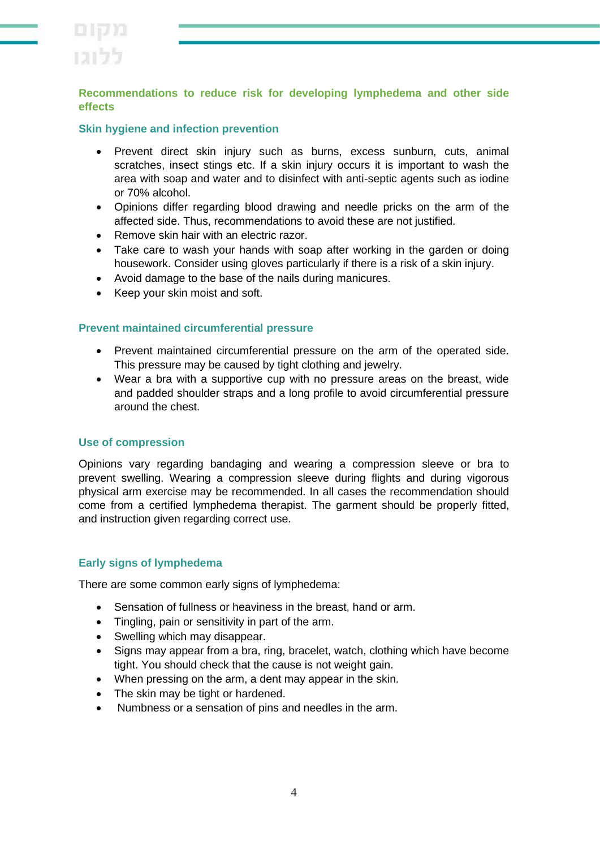

### **Recommendations to reduce risk for developing lymphedema and other side effects**

#### **Skin hygiene and infection prevention**

- Prevent direct skin injury such as burns, excess sunburn, cuts, animal scratches, insect stings etc. If a skin injury occurs it is important to wash the area with soap and water and to disinfect with anti-septic agents such as iodine or 70% alcohol.
- Opinions differ regarding blood drawing and needle pricks on the arm of the affected side. Thus, recommendations to avoid these are not justified.
- Remove skin hair with an electric razor.
- Take care to wash your hands with soap after working in the garden or doing housework. Consider using gloves particularly if there is a risk of a skin injury.
- Avoid damage to the base of the nails during manicures.
- Keep your skin moist and soft.

### **Prevent maintained circumferential pressure**

- Prevent maintained circumferential pressure on the arm of the operated side. This pressure may be caused by tight clothing and jewelry.
- Wear a bra with a supportive cup with no pressure areas on the breast, wide and padded shoulder straps and a long profile to avoid circumferential pressure around the chest.

#### **Use of compression**

Opinions vary regarding bandaging and wearing a compression sleeve or bra to prevent swelling. Wearing a compression sleeve during flights and during vigorous physical arm exercise may be recommended. In all cases the recommendation should come from a certified lymphedema therapist. The garment should be properly fitted, and instruction given regarding correct use.

#### **Early signs of lymphedema**

There are some common early signs of lymphedema:

- Sensation of fullness or heaviness in the breast, hand or arm.
- Tingling, pain or sensitivity in part of the arm.
- Swelling which may disappear.
- Signs may appear from a bra, ring, bracelet, watch, clothing which have become tight. You should check that the cause is not weight gain.
- When pressing on the arm, a dent may appear in the skin.
- The skin may be tight or hardened.
- Numbness or a sensation of pins and needles in the arm.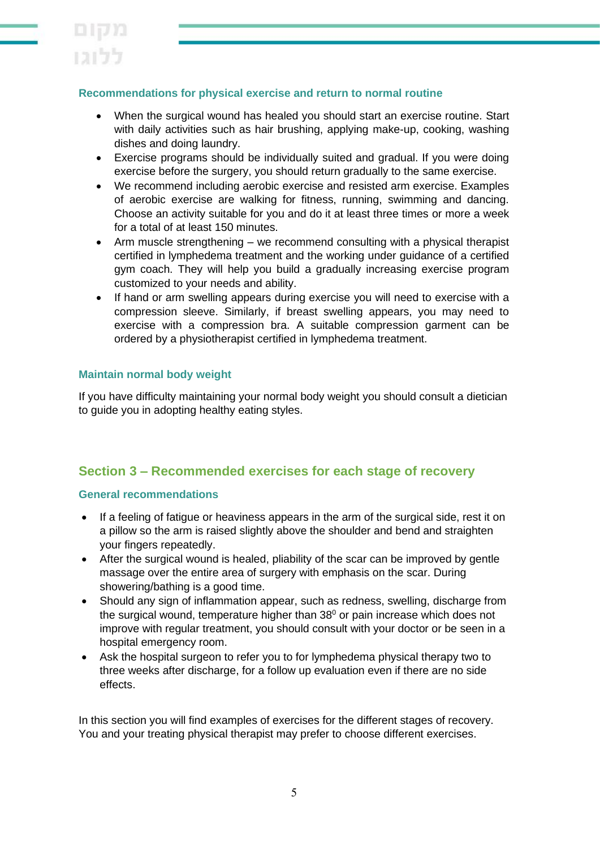## **Recommendations for physical exercise and return to normal routine**

- When the surgical wound has healed you should start an exercise routine. Start with daily activities such as hair brushing, applying make-up, cooking, washing dishes and doing laundry.
- Exercise programs should be individually suited and gradual. If you were doing exercise before the surgery, you should return gradually to the same exercise.
- We recommend including aerobic exercise and resisted arm exercise. Examples of aerobic exercise are walking for fitness, running, swimming and dancing. Choose an activity suitable for you and do it at least three times or more a week for a total of at least 150 minutes.
- Arm muscle strengthening we recommend consulting with a physical therapist certified in lymphedema treatment and the working under guidance of a certified gym coach. They will help you build a gradually increasing exercise program customized to your needs and ability.
- If hand or arm swelling appears during exercise you will need to exercise with a compression sleeve. Similarly, if breast swelling appears, you may need to exercise with a compression bra. A suitable compression garment can be ordered by a physiotherapist certified in lymphedema treatment.

## **Maintain normal body weight**

If you have difficulty maintaining your normal body weight you should consult a dietician to guide you in adopting healthy eating styles.

# **Section 3 – Recommended exercises for each stage of recovery**

### **General recommendations**

- If a feeling of fatigue or heaviness appears in the arm of the surgical side, rest it on a pillow so the arm is raised slightly above the shoulder and bend and straighten your fingers repeatedly.
- After the surgical wound is healed, pliability of the scar can be improved by gentle massage over the entire area of surgery with emphasis on the scar. During showering/bathing is a good time.
- Should any sign of inflammation appear, such as redness, swelling, discharge from the surgical wound, temperature higher than  $38<sup>0</sup>$  or pain increase which does not improve with regular treatment, you should consult with your doctor or be seen in a hospital emergency room.
- Ask the hospital surgeon to refer you to for lymphedema physical therapy two to three weeks after discharge, for a follow up evaluation even if there are no side effects.

In this section you will find examples of exercises for the different stages of recovery. You and your treating physical therapist may prefer to choose different exercises.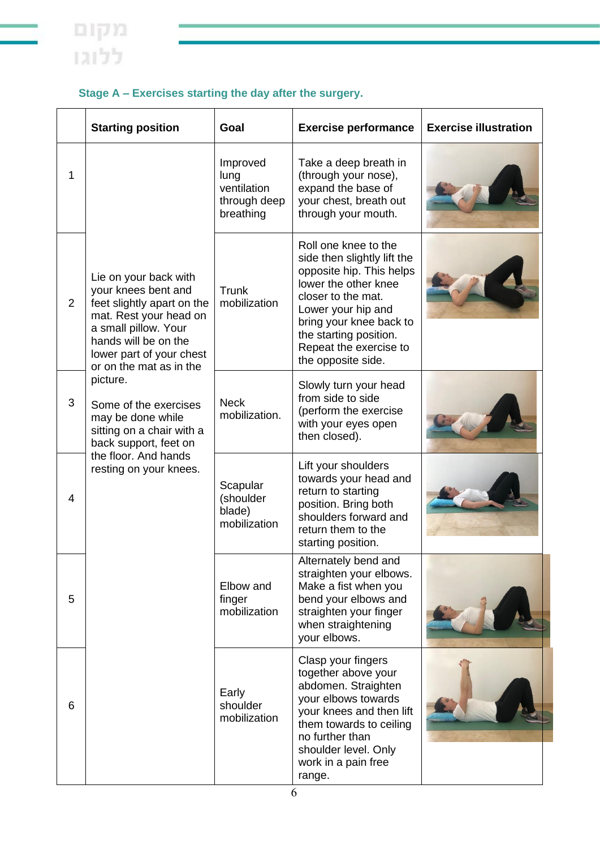|   | <b>Starting position</b>                                                                                                                                                                                    | Goal                                                         | <b>Exercise performance</b>                                                                                                                                                                                                                              | <b>Exercise illustration</b> |
|---|-------------------------------------------------------------------------------------------------------------------------------------------------------------------------------------------------------------|--------------------------------------------------------------|----------------------------------------------------------------------------------------------------------------------------------------------------------------------------------------------------------------------------------------------------------|------------------------------|
| 1 |                                                                                                                                                                                                             | Improved<br>lung<br>ventilation<br>through deep<br>breathing | Take a deep breath in<br>(through your nose),<br>expand the base of<br>your chest, breath out<br>through your mouth.                                                                                                                                     |                              |
| 2 | Lie on your back with<br>your knees bent and<br>feet slightly apart on the<br>mat. Rest your head on<br>a small pillow. Your<br>hands will be on the<br>lower part of your chest<br>or on the mat as in the | Trunk<br>mobilization                                        | Roll one knee to the<br>side then slightly lift the<br>opposite hip. This helps<br>lower the other knee<br>closer to the mat.<br>Lower your hip and<br>bring your knee back to<br>the starting position.<br>Repeat the exercise to<br>the opposite side. |                              |
| 3 | picture.<br>Some of the exercises<br>may be done while<br>sitting on a chair with a<br>back support, feet on                                                                                                | <b>Neck</b><br>mobilization.                                 | Slowly turn your head<br>from side to side<br>(perform the exercise<br>with your eyes open<br>then closed).                                                                                                                                              |                              |
| 4 | the floor. And hands<br>resting on your knees.                                                                                                                                                              | Scapular<br>(shoulder<br>blade)<br>mobilization              | Lift your shoulders<br>towards your head and<br>return to starting<br>position. Bring both<br>shoulders forward and<br>return them to the<br>starting position.                                                                                          |                              |
| 5 |                                                                                                                                                                                                             | Elbow and<br>finger<br>mobilization                          | Alternately bend and<br>straighten your elbows.<br>Make a fist when you<br>bend your elbows and<br>straighten your finger<br>when straightening<br>your elbows.                                                                                          |                              |
| 6 |                                                                                                                                                                                                             | Early<br>shoulder<br>mobilization                            | Clasp your fingers<br>together above your<br>abdomen. Straighten<br>your elbows towards<br>your knees and then lift<br>them towards to ceiling<br>no further than<br>shoulder level. Only<br>work in a pain free<br>range.                               |                              |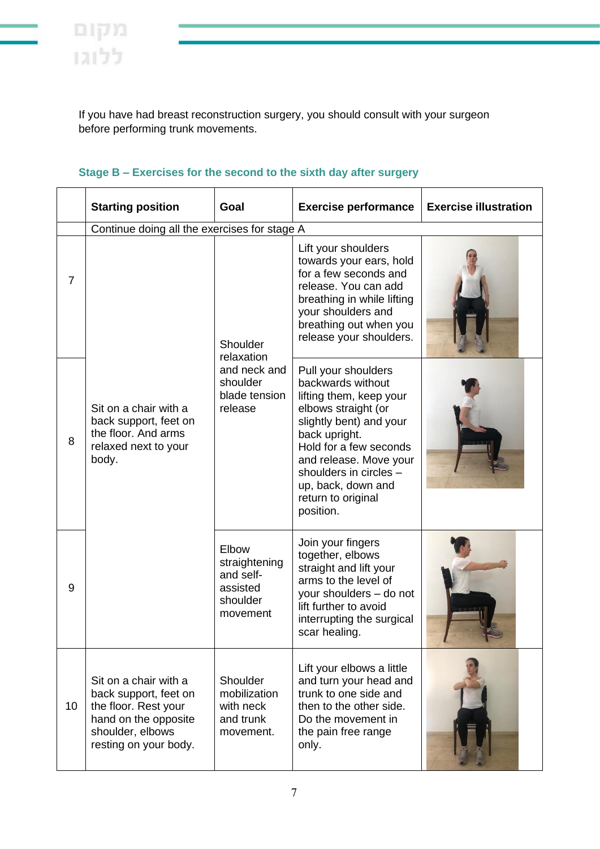If you have had breast reconstruction surgery, you should consult with your surgeon before performing trunk movements.

# **Stage B – Exercises for the second to the sixth day after surgery**

|                | <b>Starting position</b>                                                                                                                                                                                       | Goal                                                                           | <b>Exercise performance</b>                                                                                                                                                                                                                                                   | <b>Exercise illustration</b> |  |  |
|----------------|----------------------------------------------------------------------------------------------------------------------------------------------------------------------------------------------------------------|--------------------------------------------------------------------------------|-------------------------------------------------------------------------------------------------------------------------------------------------------------------------------------------------------------------------------------------------------------------------------|------------------------------|--|--|
|                | Continue doing all the exercises for stage A                                                                                                                                                                   |                                                                                |                                                                                                                                                                                                                                                                               |                              |  |  |
| $\overline{7}$ |                                                                                                                                                                                                                | Shoulder<br>relaxation<br>and neck and<br>shoulder<br>blade tension<br>release | Lift your shoulders<br>towards your ears, hold<br>for a few seconds and<br>release. You can add<br>breathing in while lifting<br>your shoulders and<br>breathing out when you<br>release your shoulders.                                                                      |                              |  |  |
| 8              | Sit on a chair with a<br>back support, feet on<br>the floor. And arms<br>relaxed next to your<br>body.                                                                                                         |                                                                                | Pull your shoulders<br>backwards without<br>lifting them, keep your<br>elbows straight (or<br>slightly bent) and your<br>back upright.<br>Hold for a few seconds<br>and release. Move your<br>shoulders in circles -<br>up, back, down and<br>return to original<br>position. |                              |  |  |
| 9              |                                                                                                                                                                                                                | Elbow<br>straightening<br>and self-<br>assisted<br>shoulder<br>movement        | Join your fingers<br>together, elbows<br>straight and lift your<br>arms to the level of<br>your shoulders - do not<br>lift further to avoid<br>interrupting the surgical<br>scar healing.                                                                                     |                              |  |  |
| 10             | Shoulder<br>Sit on a chair with a<br>mobilization<br>back support, feet on<br>the floor. Rest your<br>with neck<br>hand on the opposite<br>and trunk<br>shoulder, elbows<br>movement.<br>resting on your body. |                                                                                | Lift your elbows a little<br>and turn your head and<br>trunk to one side and<br>then to the other side.<br>Do the movement in<br>the pain free range<br>only.                                                                                                                 |                              |  |  |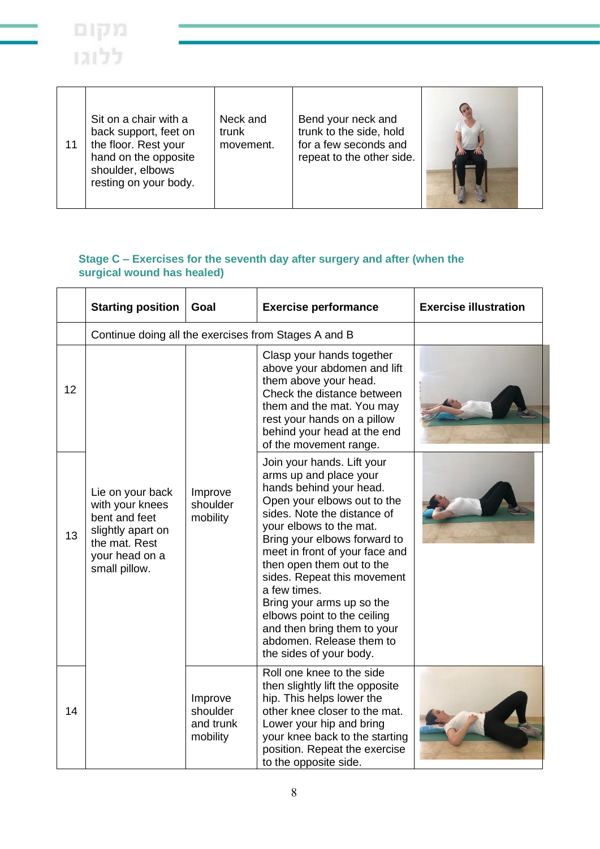

| 11 | Sit on a chair with a<br>back support, feet on<br>the floor. Rest your<br>hand on the opposite<br>shoulder, elbows<br>resting on your body. | Neck and<br>trunk<br>movement. | Bend your neck and<br>trunk to the side, hold<br>for a few seconds and<br>repeat to the other side. |  |
|----|---------------------------------------------------------------------------------------------------------------------------------------------|--------------------------------|-----------------------------------------------------------------------------------------------------|--|
|----|---------------------------------------------------------------------------------------------------------------------------------------------|--------------------------------|-----------------------------------------------------------------------------------------------------|--|

## **Stage C – Exercises for the seventh day after surgery and after (when the surgical wound has healed)**

|    | <b>Starting position</b>                                                                                                      | Goal                                         | <b>Exercise performance</b>                                                                                                                                                                                                                                                                                                                                                                                                                                              | <b>Exercise illustration</b> |
|----|-------------------------------------------------------------------------------------------------------------------------------|----------------------------------------------|--------------------------------------------------------------------------------------------------------------------------------------------------------------------------------------------------------------------------------------------------------------------------------------------------------------------------------------------------------------------------------------------------------------------------------------------------------------------------|------------------------------|
|    | Continue doing all the exercises from Stages A and B                                                                          |                                              |                                                                                                                                                                                                                                                                                                                                                                                                                                                                          |                              |
| 12 |                                                                                                                               |                                              | Clasp your hands together<br>above your abdomen and lift<br>them above your head.<br>Check the distance between<br>them and the mat. You may<br>rest your hands on a pillow<br>behind your head at the end<br>of the movement range.                                                                                                                                                                                                                                     |                              |
| 13 | Lie on your back<br>with your knees<br>bent and feet<br>slightly apart on<br>the mat. Rest<br>your head on a<br>small pillow. | Improve<br>shoulder<br>mobility              | Join your hands. Lift your<br>arms up and place your<br>hands behind your head.<br>Open your elbows out to the<br>sides. Note the distance of<br>your elbows to the mat.<br>Bring your elbows forward to<br>meet in front of your face and<br>then open them out to the<br>sides. Repeat this movement<br>a few times.<br>Bring your arms up so the<br>elbows point to the ceiling<br>and then bring them to your<br>abdomen. Release them to<br>the sides of your body. |                              |
| 14 |                                                                                                                               | Improve<br>shoulder<br>and trunk<br>mobility | Roll one knee to the side<br>then slightly lift the opposite<br>hip. This helps lower the<br>other knee closer to the mat.<br>Lower your hip and bring<br>your knee back to the starting<br>position. Repeat the exercise<br>to the opposite side.                                                                                                                                                                                                                       |                              |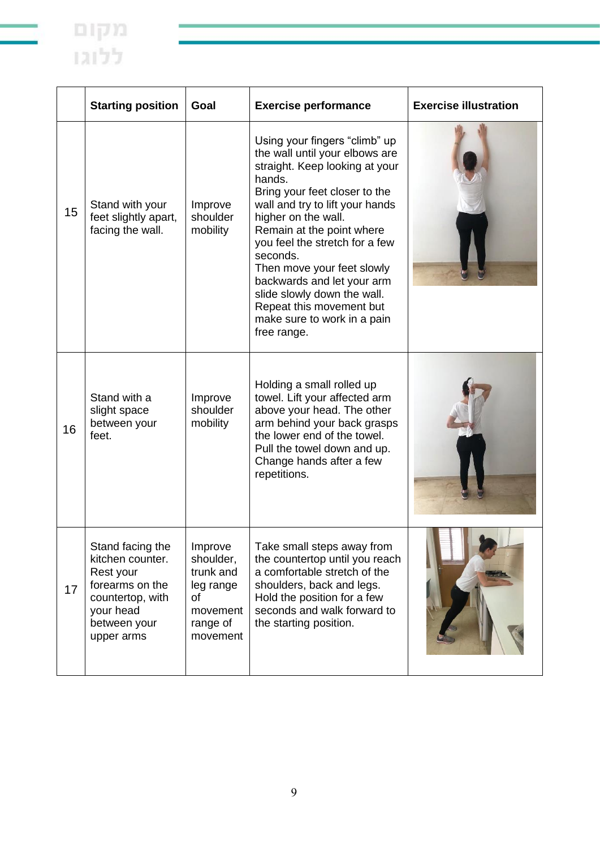|    | <b>Starting position</b>                                                                                                            | Goal                                                                                     | <b>Exercise performance</b>                                                                                                                                                                                                                                                                                                                                                                                                                            | <b>Exercise illustration</b> |
|----|-------------------------------------------------------------------------------------------------------------------------------------|------------------------------------------------------------------------------------------|--------------------------------------------------------------------------------------------------------------------------------------------------------------------------------------------------------------------------------------------------------------------------------------------------------------------------------------------------------------------------------------------------------------------------------------------------------|------------------------------|
| 15 | Stand with your<br>feet slightly apart,<br>facing the wall.                                                                         | Improve<br>shoulder<br>mobility                                                          | Using your fingers "climb" up<br>the wall until your elbows are<br>straight. Keep looking at your<br>hands.<br>Bring your feet closer to the<br>wall and try to lift your hands<br>higher on the wall.<br>Remain at the point where<br>you feel the stretch for a few<br>seconds.<br>Then move your feet slowly<br>backwards and let your arm<br>slide slowly down the wall.<br>Repeat this movement but<br>make sure to work in a pain<br>free range. |                              |
| 16 | Stand with a<br>slight space<br>between your<br>feet.                                                                               | Improve<br>shoulder<br>mobility                                                          | Holding a small rolled up<br>towel. Lift your affected arm<br>above your head. The other<br>arm behind your back grasps<br>the lower end of the towel.<br>Pull the towel down and up.<br>Change hands after a few<br>repetitions.                                                                                                                                                                                                                      |                              |
| 17 | Stand facing the<br>kitchen counter.<br>Rest your<br>forearms on the<br>countertop, with<br>your head<br>between your<br>upper arms | Improve<br>shoulder,<br>trunk and<br>leg range<br>of<br>movement<br>range of<br>movement | Take small steps away from<br>the countertop until you reach<br>a comfortable stretch of the<br>shoulders, back and legs.<br>Hold the position for a few<br>seconds and walk forward to<br>the starting position.                                                                                                                                                                                                                                      |                              |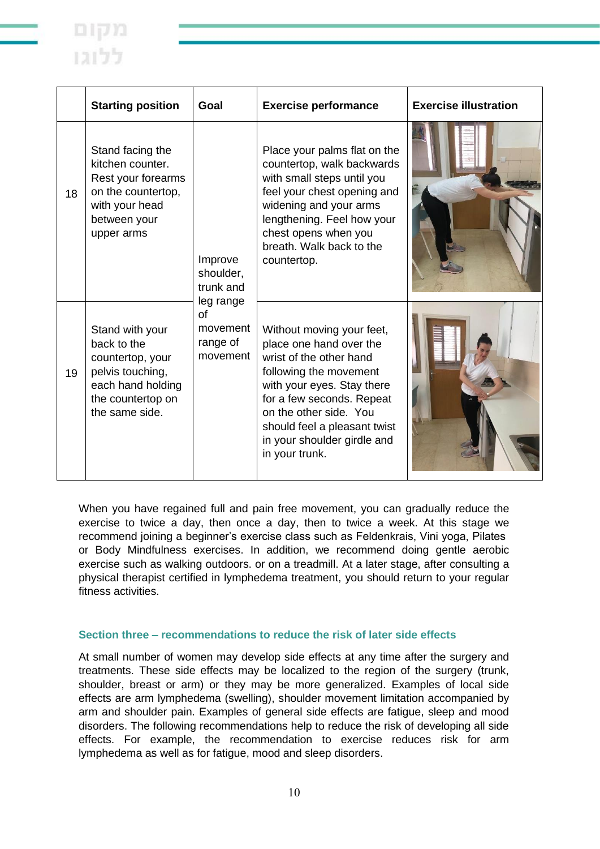

|    | <b>Starting position</b>                                                                                                           | Goal                                                       | <b>Exercise performance</b>                                                                                                                                                                                                                                                     | <b>Exercise illustration</b> |
|----|------------------------------------------------------------------------------------------------------------------------------------|------------------------------------------------------------|---------------------------------------------------------------------------------------------------------------------------------------------------------------------------------------------------------------------------------------------------------------------------------|------------------------------|
| 18 | Stand facing the<br>kitchen counter.<br>Rest your forearms<br>on the countertop,<br>with your head<br>between your<br>upper arms   | Improve<br>shoulder,<br>trunk and                          | Place your palms flat on the<br>countertop, walk backwards<br>with small steps until you<br>feel your chest opening and<br>widening and your arms<br>lengthening. Feel how your<br>chest opens when you<br>breath. Walk back to the<br>countertop.                              |                              |
| 19 | Stand with your<br>back to the<br>countertop, your<br>pelvis touching,<br>each hand holding<br>the countertop on<br>the same side. | leg range<br><b>of</b><br>movement<br>range of<br>movement | Without moving your feet,<br>place one hand over the<br>wrist of the other hand<br>following the movement<br>with your eyes. Stay there<br>for a few seconds. Repeat<br>on the other side. You<br>should feel a pleasant twist<br>in your shoulder girdle and<br>in your trunk. |                              |

When you have regained full and pain free movement, you can gradually reduce the exercise to twice a day, then once a day, then to twice a week. At this stage we recommend joining a beginner's exercise class such as Feldenkrais, Vini yoga, Pilates or Body Mindfulness exercises. In addition, we recommend doing gentle aerobic exercise such as walking outdoors. or on a treadmill. At a later stage, after consulting a physical therapist certified in lymphedema treatment, you should return to your regular fitness activities.

#### **Section three – recommendations to reduce the risk of later side effects**

At small number of women may develop side effects at any time after the surgery and treatments. These side effects may be localized to the region of the surgery (trunk, shoulder, breast or arm) or they may be more generalized. Examples of local side effects are arm lymphedema (swelling), shoulder movement limitation accompanied by arm and shoulder pain. Examples of general side effects are fatigue, sleep and mood disorders. The following recommendations help to reduce the risk of developing all side effects. For example, the recommendation to exercise reduces risk for arm lymphedema as well as for fatigue, mood and sleep disorders.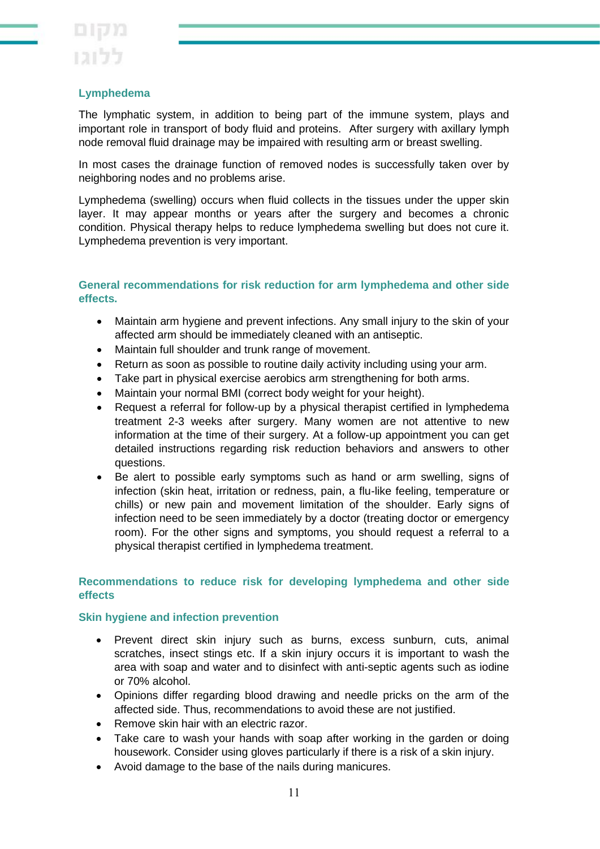# **Lymphedema**

The lymphatic system, in addition to being part of the immune system, plays and important role in transport of body fluid and proteins. After surgery with axillary lymph node removal fluid drainage may be impaired with resulting arm or breast swelling.

In most cases the drainage function of removed nodes is successfully taken over by neighboring nodes and no problems arise.

Lymphedema (swelling) occurs when fluid collects in the tissues under the upper skin layer. It may appear months or years after the surgery and becomes a chronic condition. Physical therapy helps to reduce lymphedema swelling but does not cure it. Lymphedema prevention is very important.

## **General recommendations for risk reduction for arm lymphedema and other side effects.**

- Maintain arm hygiene and prevent infections. Any small injury to the skin of your affected arm should be immediately cleaned with an antiseptic.
- Maintain full shoulder and trunk range of movement.
- Return as soon as possible to routine daily activity including using your arm.
- Take part in physical exercise aerobics arm strengthening for both arms.
- Maintain your normal BMI (correct body weight for your height).
- Request a referral for follow-up by a physical therapist certified in lymphedema treatment 2-3 weeks after surgery. Many women are not attentive to new information at the time of their surgery. At a follow-up appointment you can get detailed instructions regarding risk reduction behaviors and answers to other questions.
- Be alert to possible early symptoms such as hand or arm swelling, signs of infection (skin heat, irritation or redness, pain, a flu-like feeling, temperature or chills) or new pain and movement limitation of the shoulder. Early signs of infection need to be seen immediately by a doctor (treating doctor or emergency room). For the other signs and symptoms, you should request a referral to a physical therapist certified in lymphedema treatment.

## **Recommendations to reduce risk for developing lymphedema and other side effects**

### **Skin hygiene and infection prevention**

- Prevent direct skin injury such as burns, excess sunburn, cuts, animal scratches, insect stings etc. If a skin injury occurs it is important to wash the area with soap and water and to disinfect with anti-septic agents such as iodine or 70% alcohol.
- Opinions differ regarding blood drawing and needle pricks on the arm of the affected side. Thus, recommendations to avoid these are not justified.
- Remove skin hair with an electric razor.
- Take care to wash your hands with soap after working in the garden or doing housework. Consider using gloves particularly if there is a risk of a skin injury.
- Avoid damage to the base of the nails during manicures.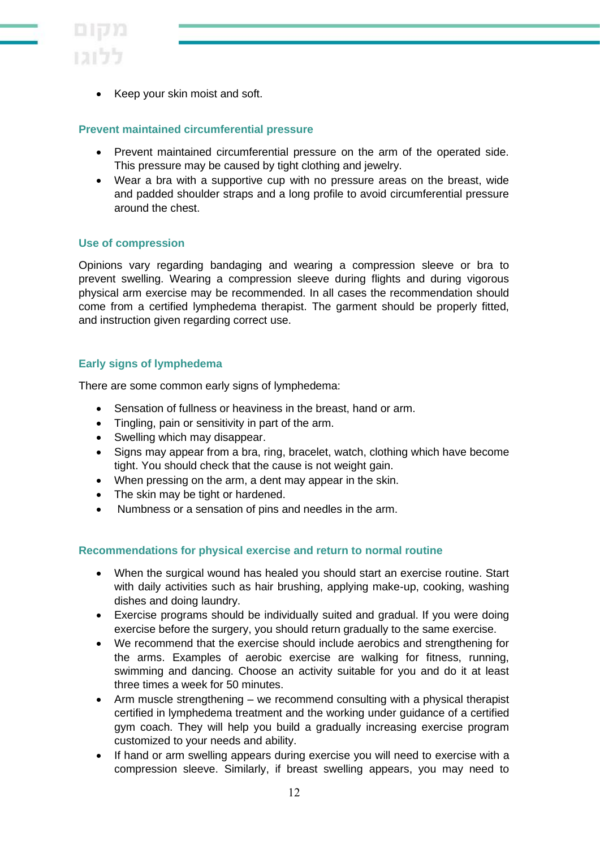

Keep your skin moist and soft.

### **Prevent maintained circumferential pressure**

- Prevent maintained circumferential pressure on the arm of the operated side. This pressure may be caused by tight clothing and jewelry.
- Wear a bra with a supportive cup with no pressure areas on the breast, wide and padded shoulder straps and a long profile to avoid circumferential pressure around the chest.

### **Use of compression**

Opinions vary regarding bandaging and wearing a compression sleeve or bra to prevent swelling. Wearing a compression sleeve during flights and during vigorous physical arm exercise may be recommended. In all cases the recommendation should come from a certified lymphedema therapist. The garment should be properly fitted, and instruction given regarding correct use.

## **Early signs of lymphedema**

There are some common early signs of lymphedema:

- Sensation of fullness or heaviness in the breast, hand or arm.
- Tingling, pain or sensitivity in part of the arm.
- Swelling which may disappear.
- Signs may appear from a bra, ring, bracelet, watch, clothing which have become tight. You should check that the cause is not weight gain.
- When pressing on the arm, a dent may appear in the skin.
- The skin may be tight or hardened.
- Numbness or a sensation of pins and needles in the arm.

### **Recommendations for physical exercise and return to normal routine**

- When the surgical wound has healed you should start an exercise routine. Start with daily activities such as hair brushing, applying make-up, cooking, washing dishes and doing laundry.
- Exercise programs should be individually suited and gradual. If you were doing exercise before the surgery, you should return gradually to the same exercise.
- We recommend that the exercise should include aerobics and strengthening for the arms. Examples of aerobic exercise are walking for fitness, running, swimming and dancing. Choose an activity suitable for you and do it at least three times a week for 50 minutes.
- Arm muscle strengthening we recommend consulting with a physical therapist certified in lymphedema treatment and the working under guidance of a certified gym coach. They will help you build a gradually increasing exercise program customized to your needs and ability.
- If hand or arm swelling appears during exercise you will need to exercise with a compression sleeve. Similarly, if breast swelling appears, you may need to